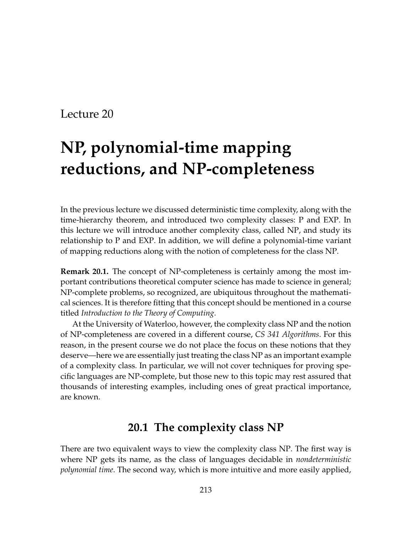# **NP, polynomial-time mapping reductions, and NP-completeness**

In the previous lecture we discussed deterministic time complexity, along with the time-hierarchy theorem, and introduced two complexity classes: P and EXP. In this lecture we will introduce another complexity class, called NP, and study its relationship to P and EXP. In addition, we will define a polynomial-time variant of mapping reductions along with the notion of completeness for the class NP.

**Remark 20.1.** The concept of NP-completeness is certainly among the most important contributions theoretical computer science has made to science in general; NP-complete problems, so recognized, are ubiquitous throughout the mathematical sciences. It is therefore fitting that this concept should be mentioned in a course titled *Introduction to the Theory of Computing*.

At the University of Waterloo, however, the complexity class NP and the notion of NP-completeness are covered in a different course, *CS 341 Algorithms*. For this reason, in the present course we do not place the focus on these notions that they deserve—here we are essentially just treating the class NP as an important example of a complexity class. In particular, we will not cover techniques for proving specific languages are NP-complete, but those new to this topic may rest assured that thousands of interesting examples, including ones of great practical importance, are known.

### **20.1 The complexity class NP**

There are two equivalent ways to view the complexity class NP. The first way is where NP gets its name, as the class of languages decidable in *nondeterministic polynomial time*. The second way, which is more intuitive and more easily applied,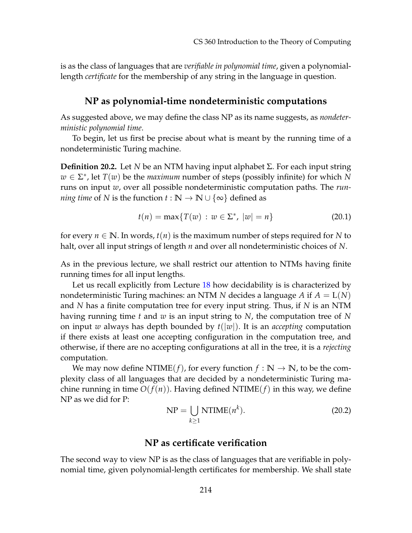is as the class of languages that are *verifiable in polynomial time*, given a polynomiallength *certificate* for the membership of any string in the language in question.

#### **NP as polynomial-time nondeterministic computations**

As suggested above, we may define the class NP as its name suggests, as *nondeterministic polynomial time*.

To begin, let us first be precise about what is meant by the running time of a nondeterministic Turing machine.

**Definition 20.2.** Let *N* be an NTM having input alphabet Σ. For each input string  $w \in \Sigma^*$ , let  $T(w)$  be the *maximum* number of steps (possibly infinite) for which *N* runs on input *w*, over all possible nondeterministic computation paths. The *running time* of *N* is the function  $t : \mathbb{N} \to \mathbb{N} \cup \{\infty\}$  defined as

$$
t(n) = \max\{T(w) : w \in \Sigma^*, \ |w| = n\}
$$
 (20.1)

for every  $n \in \mathbb{N}$ . In words,  $t(n)$  is the maximum number of steps required for N to halt, over all input strings of length *n* and over all nondeterministic choices of *N*.

As in the previous lecture, we shall restrict our attention to NTMs having finite running times for all input lengths.

Let us recall explicitly from Lecture [18](#page--1-0) how decidability is is characterized by nondeterministic Turing machines: an NTM *N* decides a language *A* if *A* = L(*N*) and *N* has a finite computation tree for every input string. Thus, if *N* is an NTM having running time *t* and *w* is an input string to *N*, the computation tree of *N* on input *w* always has depth bounded by *t*(|*w*|). It is an *accepting* computation if there exists at least one accepting configuration in the computation tree, and otherwise, if there are no accepting configurations at all in the tree, it is a *rejecting* computation.

We may now define  $NTIME(f)$ , for every function  $f : \mathbb{N} \to \mathbb{N}$ , to be the complexity class of all languages that are decided by a nondeterministic Turing machine running in time  $O(f(n))$ . Having defined NTIME(*f*) in this way, we define NP as we did for P:

<span id="page-1-0"></span>
$$
NP = \bigcup_{k \ge 1} NTIME(n^k). \tag{20.2}
$$

#### **NP as certificate verification**

The second way to view NP is as the class of languages that are verifiable in polynomial time, given polynomial-length certificates for membership. We shall state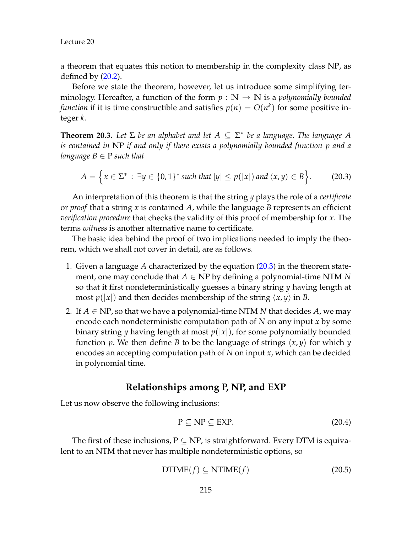a theorem that equates this notion to membership in the complexity class NP, as defined by  $(20.2)$ .

Before we state the theorem, however, let us introduce some simplifying terminology. Hereafter, a function of the form  $p : \mathbb{N} \to \mathbb{N}$  is a *polynomially bounded function* if it is time constructible and satisfies  $p(n) = O(n^k)$  for some positive integer *k*.

<span id="page-2-1"></span>**Theorem 20.3.** Let  $\Sigma$  be an alphabet and let  $A \subseteq \Sigma^*$  be a language. The language A *is contained in* NP *if and only if there exists a polynomially bounded function p and a language*  $B \in P$  *such that* 

<span id="page-2-0"></span>
$$
A = \left\{ x \in \Sigma^* : \exists y \in \{0,1\}^* \text{ such that } |y| \le p(|x|) \text{ and } \langle x, y \rangle \in B \right\}.
$$
 (20.3)

An interpretation of this theorem is that the string *y* plays the role of a *certificate* or *proof* that a string *x* is contained *A*, while the language *B* represents an efficient *verification procedure* that checks the validity of this proof of membership for *x*. The terms *witness* is another alternative name to certificate.

The basic idea behind the proof of two implications needed to imply the theorem, which we shall not cover in detail, are as follows.

- 1. Given a language *A* characterized by the equation [\(20.3\)](#page-2-0) in the theorem statement, one may conclude that  $A \in NP$  by defining a polynomial-time NTM N so that it first nondeterministically guesses a binary string *y* having length at most  $p(|x|)$  and then decides membership of the string  $\langle x, y \rangle$  in *B*.
- 2. If  $A \in NP$ , so that we have a polynomial-time NTM N that decides A, we may encode each nondeterministic computation path of *N* on any input *x* by some binary string *y* having length at most  $p(|x|)$ , for some polynomially bounded function *p*. We then define *B* to be the language of strings  $\langle x, y \rangle$  for which *y* encodes an accepting computation path of *N* on input *x*, which can be decided in polynomial time.

#### **Relationships among P, NP, and EXP**

Let us now observe the following inclusions:

$$
P \subseteq NP \subseteq EXP. \tag{20.4}
$$

The first of these inclusions,  $P \subseteq NP$ , is straightforward. Every DTM is equivalent to an NTM that never has multiple nondeterministic options, so

$$
DTIME(f) \subseteq NTIME(f) \tag{20.5}
$$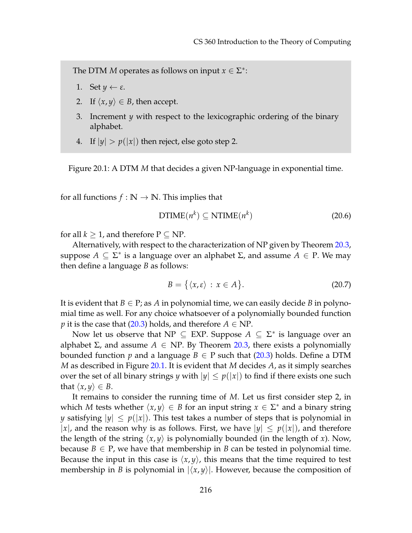The DTM *M* operates as follows on input  $x \in \Sigma^*$ :

- 1. Set  $y \leftarrow \varepsilon$ .
- 2. If  $\langle x, y \rangle \in B$ , then accept.
- 3. Increment *y* with respect to the lexicographic ordering of the binary alphabet.
- <span id="page-3-0"></span>4. If  $|y| > p(|x|)$  then reject, else goto step 2.

Figure 20.1: A DTM *M* that decides a given NP-language in exponential time.

for all functions  $f : \mathbb{N} \to \mathbb{N}$ . This implies that

$$
DTIME(n^k) \subseteq NTIME(n^k)
$$
\n(20.6)

for all  $k \geq 1$ , and therefore  $P \subseteq NP$ .

Alternatively, with respect to the characterization of NP given by Theorem [20.3,](#page-2-1) suppose  $A \subseteq \Sigma^*$  is a language over an alphabet  $\Sigma$ , and assume  $A \in P$ . We may then define a language *B* as follows:

$$
B = \{ \langle x, \varepsilon \rangle : x \in A \}. \tag{20.7}
$$

It is evident that  $B \in \mathbb{P}$ ; as A in polynomial time, we can easily decide B in polynomial time as well. For any choice whatsoever of a polynomially bounded function *p* it is the case that [\(20.3\)](#page-2-0) holds, and therefore  $A \in NP$ .

Now let us observe that  $NP \subseteq EXP$ . Suppose  $A \subseteq \Sigma^*$  is language over an alphabet  $\Sigma$ , and assume  $A \in NP$ . By Theorem [20.3,](#page-2-1) there exists a polynomially bounded function *p* and a language  $B \in P$  such that [\(20.3\)](#page-2-0) holds. Define a DTM *M* as described in Figure [20.1.](#page-3-0) It is evident that *M* decides *A*, as it simply searches over the set of all binary strings *y* with  $|y| \leq p(|x|)$  to find if there exists one such that  $\langle x, y \rangle \in B$ .

It remains to consider the running time of *M*. Let us first consider step 2, in which *M* tests whether  $\langle x, y \rangle \in B$  for an input string  $x \in \Sigma^*$  and a binary string *y* satisfying  $|y| \leq p(|x|)$ . This test takes a number of steps that is polynomial in |*x*|, and the reason why is as follows. First, we have  $|y| \leq p(|x|)$ , and therefore the length of the string  $\langle x, y \rangle$  is polynomially bounded (in the length of *x*). Now, because  $B \in P$ , we have that membership in *B* can be tested in polynomial time. Because the input in this case is  $\langle x, y \rangle$ , this means that the time required to test membership in *B* is polynomial in  $|\langle x, y \rangle|$ . However, because the composition of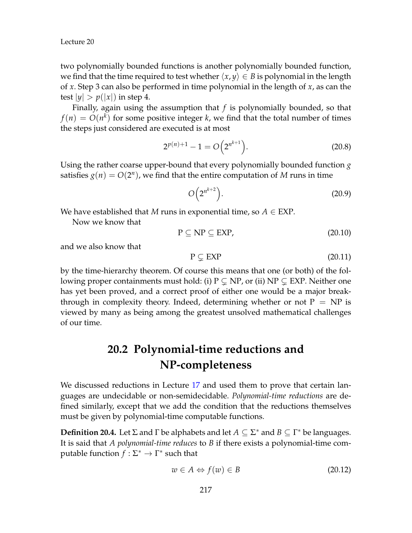two polynomially bounded functions is another polynomially bounded function, we find that the time required to test whether  $\langle x, y \rangle \in B$  is polynomial in the length of *x*. Step 3 can also be performed in time polynomial in the length of *x*, as can the test  $|y| > p(|x|)$  in step 4.

Finally, again using the assumption that *f* is polynomially bounded, so that  $f(n) = O(n^k)$  for some positive integer *k*, we find that the total number of times the steps just considered are executed is at most

$$
2^{p(n)+1} - 1 = O\left(2^{n^{k+1}}\right).
$$
 (20.8)

Using the rather coarse upper-bound that every polynomially bounded function *g* satisfies  $g(n) = O(2^n)$ , we find that the entire computation of *M* runs in time

$$
O\left(2^{n^{k+2}}\right). \tag{20.9}
$$

We have established that *M* runs in exponential time, so  $A \in EXP$ .

Now we know that

$$
P \subseteq NP \subseteq EXP,\tag{20.10}
$$

and we also know that

$$
P \subsetneq EXP \tag{20.11}
$$

by the time-hierarchy theorem. Of course this means that one (or both) of the following proper containments must hold: (i)  $P \subseteq NP$ , or (ii)  $NP \subseteq EXP$ . Neither one has yet been proved, and a correct proof of either one would be a major breakthrough in complexity theory. Indeed, determining whether or not  $P = NP$  is viewed by many as being among the greatest unsolved mathematical challenges of our time.

# **20.2 Polynomial-time reductions and NP-completeness**

We discussed reductions in Lecture [17](#page--1-0) and used them to prove that certain languages are undecidable or non-semidecidable. *Polynomial-time reductions* are defined similarly, except that we add the condition that the reductions themselves must be given by polynomial-time computable functions.

**Definition 20.4.** Let  $\Sigma$  and  $\Gamma$  be alphabets and let  $A \subseteq \Sigma^*$  and  $B \subseteq \Gamma^*$  be languages. It is said that *A polynomial-time reduces* to *B* if there exists a polynomial-time computable function  $f : \Sigma^* \to \Gamma^*$  such that

$$
w \in A \Leftrightarrow f(w) \in B \tag{20.12}
$$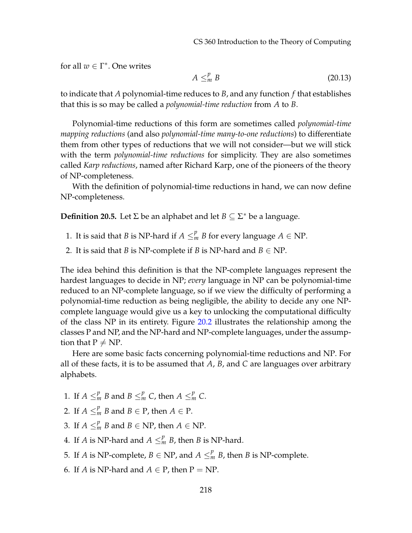for all  $w \in \Gamma^*$ . One writes

$$
A \leq^p_m B \tag{20.13}
$$

to indicate that *A* polynomial-time reduces to *B*, and any function *f* that establishes that this is so may be called a *polynomial-time reduction* from *A* to *B*.

Polynomial-time reductions of this form are sometimes called *polynomial-time mapping reductions* (and also *polynomial-time many-to-one reductions*) to differentiate them from other types of reductions that we will not consider—but we will stick with the term *polynomial-time reductions* for simplicity. They are also sometimes called *Karp reductions*, named after Richard Karp, one of the pioneers of the theory of NP-completeness.

With the definition of polynomial-time reductions in hand, we can now define NP-completeness.

**Definition 20.5.** Let  $\Sigma$  be an alphabet and let  $B \subseteq \Sigma^*$  be a language.

- 1. It is said that *B* is NP-hard if  $A \leq^p_m B$  for every language  $A \in \text{NP}$ .
- 2. It is said that *B* is NP-complete if *B* is NP-hard and  $B \in NP$ .

The idea behind this definition is that the NP-complete languages represent the hardest languages to decide in NP; *every* language in NP can be polynomial-time reduced to an NP-complete language, so if we view the difficulty of performing a polynomial-time reduction as being negligible, the ability to decide any one NPcomplete language would give us a key to unlocking the computational difficulty of the class NP in its entirety. Figure [20.2](#page-6-0) illustrates the relationship among the classes P and NP, and the NP-hard and NP-complete languages, under the assumption that  $P \neq NP$ .

Here are some basic facts concerning polynomial-time reductions and NP. For all of these facts, it is to be assumed that *A*, *B*, and *C* are languages over arbitrary alphabets.

- 1. If  $A \leq^p_m B$  and  $B \leq^p_m C$ , then  $A \leq^p_m C$ .
- 2. If  $A \leq^p_m B$  and  $B \in \mathcal{P}$ , then  $A \in \mathcal{P}$ .
- 3. If  $A \leq^p_m B$  and  $B \in \text{NP}$ , then  $A \in \text{NP}$ .
- 4. If *A* is NP-hard and  $A \leq^p_m B$ , then *B* is NP-hard.
- 5. If *A* is NP-complete,  $B \in \text{NP}$ , and  $A \leq^p_m B$ , then *B* is NP-complete.
- 6. If *A* is NP-hard and  $A \in P$ , then  $P = NP$ .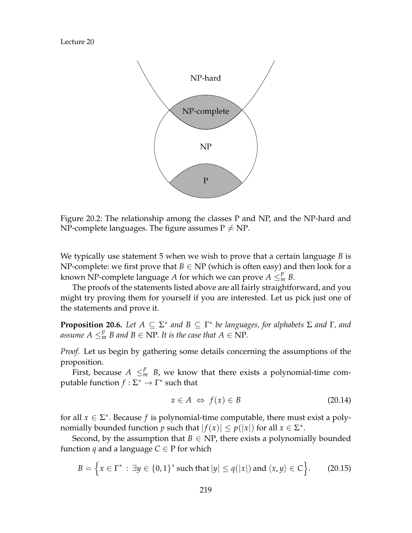

<span id="page-6-0"></span>Figure 20.2: The relationship among the classes P and NP, and the NP-hard and NP-complete languages. The figure assumes  $P \neq NP$ .

We typically use statement 5 when we wish to prove that a certain language *B* is NP-complete: we first prove that  $B \in NP$  (which is often easy) and then look for a known NP-complete language *A* for which we can prove  $A \leq^p_m B$ .

The proofs of the statements listed above are all fairly straightforward, and you might try proving them for yourself if you are interested. Let us pick just one of the statements and prove it.

<span id="page-6-1"></span>**Proposition 20.6.** Let  $A \subseteq \Sigma^*$  and  $B \subseteq \Gamma^*$  be languages, for alphabets  $\Sigma$  and  $\Gamma$ , and *assume*  $A \leq_m^p B$  and  $B \in NP$ . It is the case that  $A \in NP$ .

*Proof.* Let us begin by gathering some details concerning the assumptions of the proposition.

First, because  $A \leq^p_m B$ , we know that there exists a polynomial-time computable function  $f : \Sigma^* \to \Gamma^*$  such that

$$
x \in A \iff f(x) \in B \tag{20.14}
$$

for all  $x \in \Sigma^*$ . Because *f* is polynomial-time computable, there must exist a polynomially bounded function  $p$  such that  $|f(x)| \leq p(|x|)$  for all  $x \in \Sigma^*$ .

Second, by the assumption that  $B \in NP$ , there exists a polynomially bounded function *q* and a language  $C \in P$  for which

$$
B = \Big\{ x \in \Gamma^* : \exists y \in \{0,1\}^* \text{ such that } |y| \le q(|x|) \text{ and } \langle x, y \rangle \in C \Big\}.
$$
 (20.15)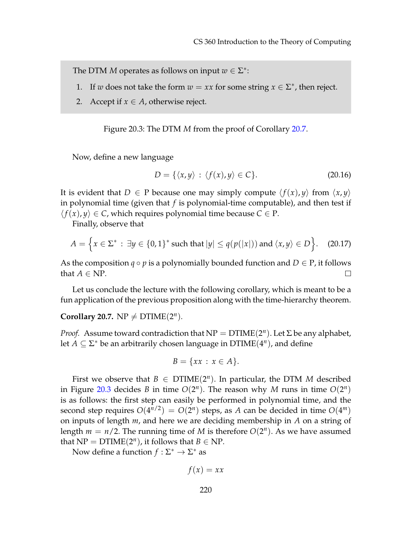The DTM *M* operates as follows on input  $w \in \Sigma^*$ :

- 1. If *w* does not take the form  $w = xx$  for some string  $x \in \Sigma^*$ , then reject.
- 2. Accept if  $x \in A$ , otherwise reject.

<span id="page-7-1"></span>Figure 20.3: The DTM *M* from the proof of Corollary [20.7.](#page-7-0)

Now, define a new language

$$
D = \{ \langle x, y \rangle : \langle f(x), y \rangle \in C \}. \tag{20.16}
$$

It is evident that  $D \in P$  because one may simply compute  $\langle f(x), y \rangle$  from  $\langle x, y \rangle$ in polynomial time (given that *f* is polynomial-time computable), and then test if  $\langle f(x), y \rangle \in C$ , which requires polynomial time because  $C \in P$ .

Finally, observe that

$$
A = \left\{ x \in \Sigma^* : \exists y \in \{0, 1\}^* \text{ such that } |y| \le q(p(|x|)) \text{ and } \langle x, y \rangle \in D \right\}.
$$
 (20.17)

As the composition  $q \circ p$  is a polynomially bounded function and  $D \in P$ , it follows that  $A \in \mathbb{N}$ P.  $\Box$ 

Let us conclude the lecture with the following corollary, which is meant to be a fun application of the previous proposition along with the time-hierarchy theorem.

#### <span id="page-7-0"></span>**Corollary 20.7.**  $NP \neq DTIME(2^n)$ *.*

*Proof.* Assume toward contradiction that  $NP = DTIME(2^n)$ . Let  $\Sigma$  be any alphabet, let  $A \subseteq \Sigma^*$  be an arbitrarily chosen language in  $DTIME(4^n)$ , and define

$$
B = \{xx : x \in A\}.
$$

First we observe that  $B \in \text{DTIME}(2^n)$ . In particular, the DTM *M* described in Figure [20.3](#page-7-1) decides *B* in time  $O(2^n)$ . The reason why *M* runs in time  $O(2^n)$ is as follows: the first step can easily be performed in polynomial time, and the second step requires  $O(4^{n/2}) = O(2^n)$  steps, as *A* can be decided in time  $O(4^m)$ on inputs of length *m*, and here we are deciding membership in *A* on a string of length  $m = n/2$ . The running time of M is therefore  $O(2^n)$ . As we have assumed that  $NP = DTIME(2^n)$ , it follows that  $B \in NP$ .

Now define a function  $f : \Sigma^* \to \Sigma^*$  as

$$
f(x) = xx
$$